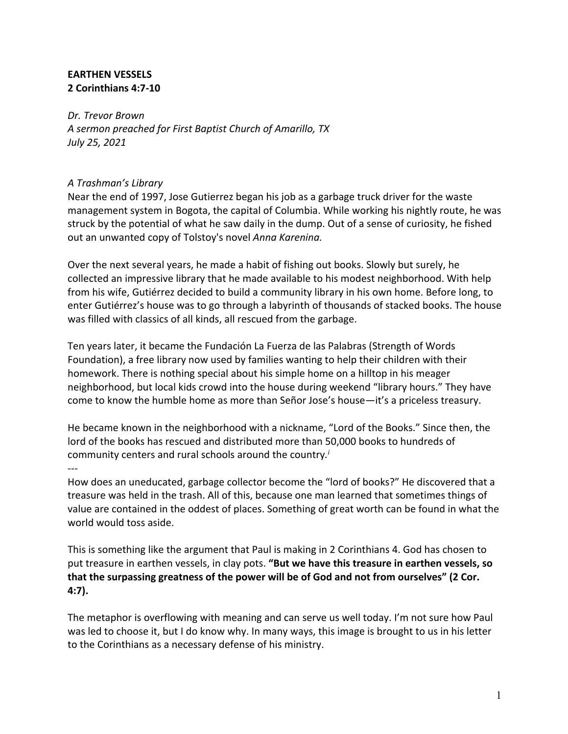# **EARTHEN VESSELS 2 Corinthians 4:7-10**

*Dr. Trevor Brown A sermon preached for First Baptist Church of Amarillo, TX July 25, 2021*

# *A Trashman's Library*

Near the end of 1997, Jose Gutierrez began his job as a garbage truck driver for the waste management system in Bogota, the capital of Columbia. While working his nightly route, he was struck by the potential of what he saw daily in the dump. Out of a sense of curiosity, he fished out an unwanted copy of Tolstoy's novel *Anna Karenina.*

Over the next several years, he made a habit of fishing out books. Slowly but surely, he collected an impressive library that he made available to his modest neighborhood. With help from his wife, Gutiérrez decided to build a community library in his own home. Before long, to enter Gutiérrez's house was to go through a labyrinth of thousands of stacked books. The house was filled with classics of all kinds, all rescued from the garbage.

Ten years later, it became the Fundación La Fuerza de las Palabras (Strength of Words Foundation), a free library now used by families wanting to help their children with their homework. There is nothing special about his simple home on a hilltop in his meager neighborhood, but local kids crowd into the house during weekend "library hours." They have come to know the humble home as more than Señor Jose's house—it's a priceless treasury.

He became known in the neighborhood with a nickname, "Lord of the Books." Since then, the lord of the books has rescued and distributed more than 50,000 books to hundreds of community centers and rural schools around the country*. i*

#### $\overline{a}$

How does an uneducated, garbage collector become the "lord of books?" He discovered that a treasure was held in the trash. All of this, because one man learned that sometimes things of value are contained in the oddest of places. Something of great worth can be found in what the world would toss aside.

This is something like the argument that Paul is making in 2 Corinthians 4. God has chosen to put treasure in earthen vessels, in clay pots. **"But we have this treasure in earthen vessels, so that the surpassing greatness of the power will be of God and not from ourselves" (2 Cor. 4:7).**

The metaphor is overflowing with meaning and can serve us well today. I'm not sure how Paul was led to choose it, but I do know why. In many ways, this image is brought to us in his letter to the Corinthians as a necessary defense of his ministry.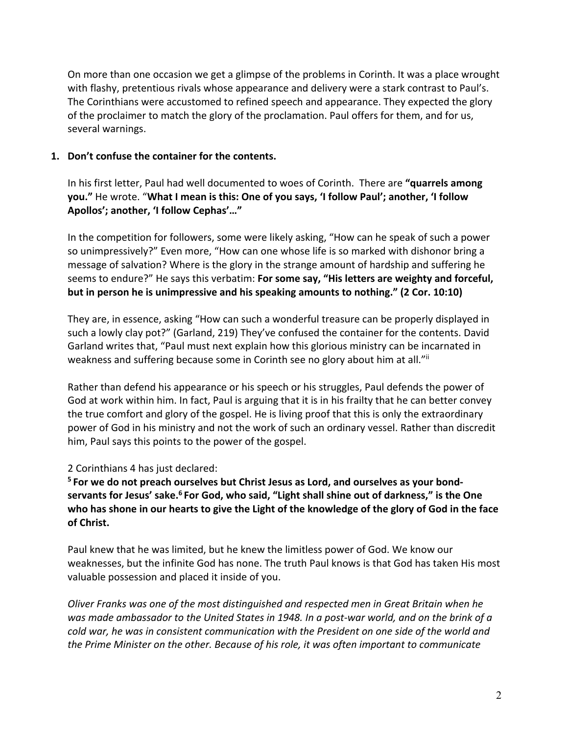On more than one occasion we get a glimpse of the problems in Corinth. It was a place wrought with flashy, pretentious rivals whose appearance and delivery were a stark contrast to Paul's. The Corinthians were accustomed to refined speech and appearance. They expected the glory of the proclaimer to match the glory of the proclamation. Paul offers for them, and for us, several warnings.

#### **1. Don't confuse the container for the contents.**

In his first letter, Paul had well documented to woes of Corinth. There are **"quarrels among you."** He wrote. "**What I mean is this: One of you says, 'I follow Paul'; another, 'I follow Apollos'; another, 'I follow Cephas'…"**

In the competition for followers, some were likely asking, "How can he speak of such a power so unimpressively?" Even more, "How can one whose life is so marked with dishonor bring a message of salvation? Where is the glory in the strange amount of hardship and suffering he seems to endure?" He says this verbatim: **For some say, "His letters are weighty and forceful, but in person he is unimpressive and his speaking amounts to nothing." (2 Cor. 10:10)**

They are, in essence, asking "How can such a wonderful treasure can be properly displayed in such a lowly clay pot?" (Garland, 219) They've confused the container for the contents. David Garland writes that, "Paul must next explain how this glorious ministry can be incarnated in weakness and suffering because some in Corinth see no glory about him at all."ii

Rather than defend his appearance or his speech or his struggles, Paul defends the power of God at work within him. In fact, Paul is arguing that it is in his frailty that he can better convey the true comfort and glory of the gospel. He is living proof that this is only the extraordinary power of God in his ministry and not the work of such an ordinary vessel. Rather than discredit him, Paul says this points to the power of the gospel.

# 2 Corinthians 4 has just declared:

**<sup>5</sup> For we do not preach ourselves but Christ Jesus as Lord, and ourselves as your bondservants for Jesus' sake.6 For God, who said, "Light shall shine out of darkness," is the One who has shone in our hearts to give the Light of the knowledge of the glory of God in the face of Christ.**

Paul knew that he was limited, but he knew the limitless power of God. We know our weaknesses, but the infinite God has none. The truth Paul knows is that God has taken His most valuable possession and placed it inside of you.

*Oliver Franks was one of the most distinguished and respected men in Great Britain when he was made ambassador to the United States in 1948. In a post-war world, and on the brink of a cold war, he was in consistent communication with the President on one side of the world and the Prime Minister on the other. Because of his role, it was often important to communicate*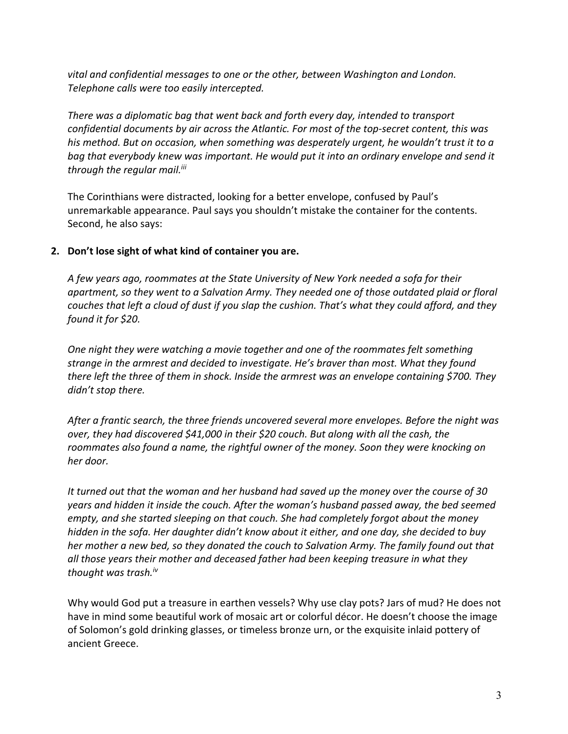*vital and confidential messages to one or the other, between Washington and London. Telephone calls were too easily intercepted.* 

*There was a diplomatic bag that went back and forth every day, intended to transport confidential documents by air across the Atlantic. For most of the top-secret content, this was his method. But on occasion, when something was desperately urgent, he wouldn't trust it to a bag that everybody knew was important. He would put it into an ordinary envelope and send it through the regular mail.iii*

The Corinthians were distracted, looking for a better envelope, confused by Paul's unremarkable appearance. Paul says you shouldn't mistake the container for the contents. Second, he also says:

#### **2. Don't lose sight of what kind of container you are.**

*A few years ago, roommates at the State University of New York needed a sofa for their apartment, so they went to a Salvation Army. They needed one of those outdated plaid or floral couches that left a cloud of dust if you slap the cushion. That's what they could afford, and they found it for \$20.*

*One night they were watching a movie together and one of the roommates felt something strange in the armrest and decided to investigate. He's braver than most. What they found there left the three of them in shock. Inside the armrest was an envelope containing \$700. They didn't stop there.*

*After a frantic search, the three friends uncovered several more envelopes. Before the night was over, they had discovered \$41,000 in their \$20 couch. But along with all the cash, the roommates also found a name, the rightful owner of the money. Soon they were knocking on her door.*

*It turned out that the woman and her husband had saved up the money over the course of 30 years and hidden it inside the couch. After the woman's husband passed away, the bed seemed empty, and she started sleeping on that couch. She had completely forgot about the money hidden in the sofa. Her daughter didn't know about it either, and one day, she decided to buy her mother a new bed, so they donated the couch to Salvation Army. The family found out that all those years their mother and deceased father had been keeping treasure in what they thought was trash.iv*

Why would God put a treasure in earthen vessels? Why use clay pots? Jars of mud? He does not have in mind some beautiful work of mosaic art or colorful décor. He doesn't choose the image of Solomon's gold drinking glasses, or timeless bronze urn, or the exquisite inlaid pottery of ancient Greece.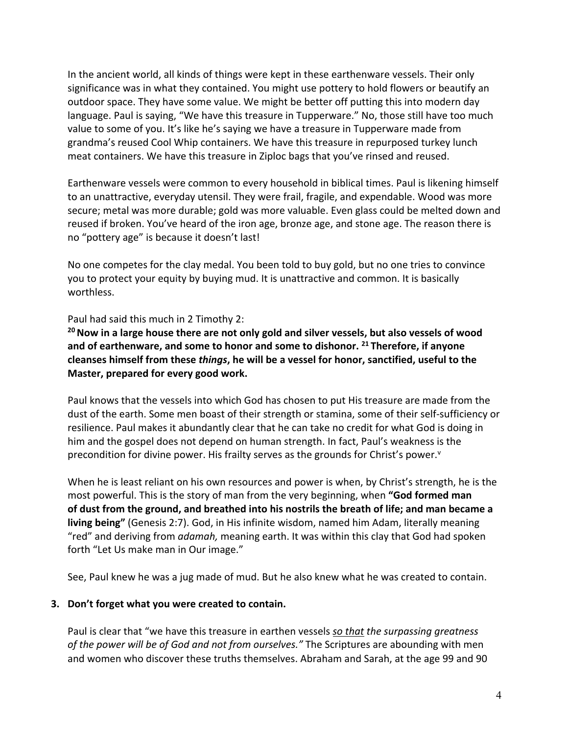In the ancient world, all kinds of things were kept in these earthenware vessels. Their only significance was in what they contained. You might use pottery to hold flowers or beautify an outdoor space. They have some value. We might be better off putting this into modern day language. Paul is saying, "We have this treasure in Tupperware." No, those still have too much value to some of you. It's like he's saying we have a treasure in Tupperware made from grandma's reused Cool Whip containers. We have this treasure in repurposed turkey lunch meat containers. We have this treasure in Ziploc bags that you've rinsed and reused.

Earthenware vessels were common to every household in biblical times. Paul is likening himself to an unattractive, everyday utensil. They were frail, fragile, and expendable. Wood was more secure; metal was more durable; gold was more valuable. Even glass could be melted down and reused if broken. You've heard of the iron age, bronze age, and stone age. The reason there is no "pottery age" is because it doesn't last!

No one competes for the clay medal. You been told to buy gold, but no one tries to convince you to protect your equity by buying mud. It is unattractive and common. It is basically worthless.

Paul had said this much in 2 Timothy 2:

<sup>20</sup> Now in a large house there are not only gold and silver vessels, but also vessels of wood **and of earthenware, and some to honor and some to dishonor. <sup>21</sup> Therefore, if anyone cleanses himself from these** *things***, he will be a vessel for honor, sanctified, useful to the Master, prepared for every good work.**

Paul knows that the vessels into which God has chosen to put His treasure are made from the dust of the earth. Some men boast of their strength or stamina, some of their self-sufficiency or resilience. Paul makes it abundantly clear that he can take no credit for what God is doing in him and the gospel does not depend on human strength. In fact, Paul's weakness is the precondition for divine power. His frailty serves as the grounds for Christ's power. $v$ 

When he is least reliant on his own resources and power is when, by Christ's strength, he is the most powerful. This is the story of man from the very beginning, when **"God formed man of dust from the ground, and breathed into his nostrils the breath of life; and man became a living being"** (Genesis 2:7). God, in His infinite wisdom, named him Adam, literally meaning "red" and deriving from *adamah,* meaning earth. It was within this clay that God had spoken forth "Let Us make man in Our image."

See, Paul knew he was a jug made of mud. But he also knew what he was created to contain.

#### **3. Don't forget what you were created to contain.**

Paul is clear that "we have this treasure in earthen vessels *so that the surpassing greatness of the power will be of God and not from ourselves."* The Scriptures are abounding with men and women who discover these truths themselves. Abraham and Sarah, at the age 99 and 90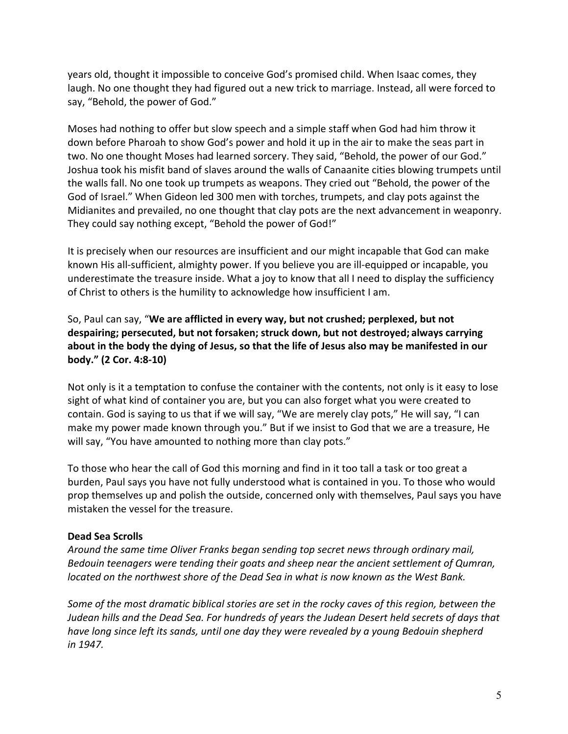years old, thought it impossible to conceive God's promised child. When Isaac comes, they laugh. No one thought they had figured out a new trick to marriage. Instead, all were forced to say, "Behold, the power of God."

Moses had nothing to offer but slow speech and a simple staff when God had him throw it down before Pharoah to show God's power and hold it up in the air to make the seas part in two. No one thought Moses had learned sorcery. They said, "Behold, the power of our God." Joshua took his misfit band of slaves around the walls of Canaanite cities blowing trumpets until the walls fall. No one took up trumpets as weapons. They cried out "Behold, the power of the God of Israel." When Gideon led 300 men with torches, trumpets, and clay pots against the Midianites and prevailed, no one thought that clay pots are the next advancement in weaponry. They could say nothing except, "Behold the power of God!"

It is precisely when our resources are insufficient and our might incapable that God can make known His all-sufficient, almighty power. If you believe you are ill-equipped or incapable, you underestimate the treasure inside. What a joy to know that all I need to display the sufficiency of Christ to others is the humility to acknowledge how insufficient I am.

So, Paul can say, "**We are afflicted in every way, but not crushed; perplexed, but not despairing; persecuted, but not forsaken; struck down, but not destroyed; always carrying about in the body the dying of Jesus, so that the life of Jesus also may be manifested in our body." (2 Cor. 4:8-10)**

Not only is it a temptation to confuse the container with the contents, not only is it easy to lose sight of what kind of container you are, but you can also forget what you were created to contain. God is saying to us that if we will say, "We are merely clay pots," He will say, "I can make my power made known through you." But if we insist to God that we are a treasure, He will say, "You have amounted to nothing more than clay pots."

To those who hear the call of God this morning and find in it too tall a task or too great a burden, Paul says you have not fully understood what is contained in you. To those who would prop themselves up and polish the outside, concerned only with themselves, Paul says you have mistaken the vessel for the treasure.

# **Dead Sea Scrolls**

*Around the same time Oliver Franks began sending top secret news through ordinary mail, Bedouin teenagers were tending their goats and sheep near the ancient settlement of Qumran, located on the northwest shore of the Dead Sea in what is now known as the West Bank.* 

*Some of the most dramatic biblical stories are set in the rocky caves of this region, between the Judean hills and the Dead Sea. For hundreds of years the Judean Desert held secrets of days that have long since left its sands, until one day they were revealed by a young Bedouin shepherd in 1947.*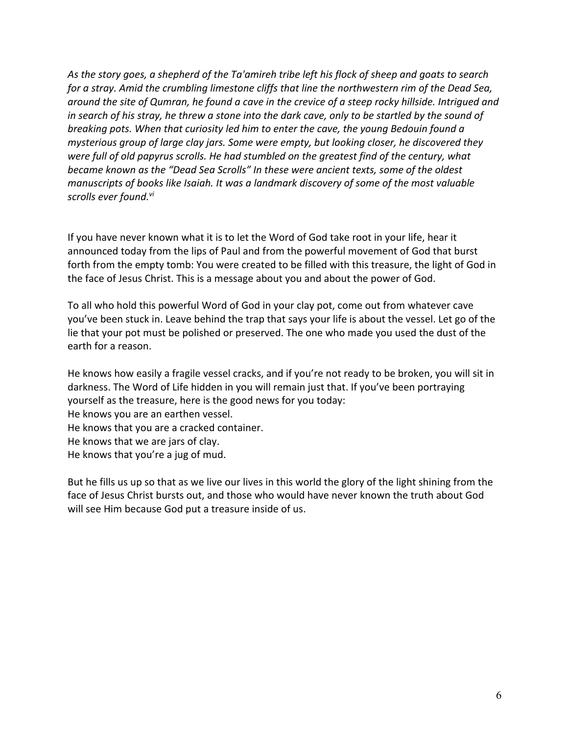*As the story goes, a shepherd of the Ta'amireh tribe left his flock of sheep and goats to search for a stray. Amid the crumbling limestone cliffs that line the northwestern rim of the Dead Sea, around the site of Qumran, he found a cave in the crevice of a steep rocky hillside. Intrigued and in search of his stray, he threw a stone into the dark cave, only to be startled by the sound of breaking pots. When that curiosity led him to enter the cave, the young Bedouin found a mysterious group of large clay jars. Some were empty, but looking closer, he discovered they were full of old papyrus scrolls. He had stumbled on the greatest find of the century, what became known as the "Dead Sea Scrolls" In these were ancient texts, some of the oldest manuscripts of books like Isaiah. It was a landmark discovery of some of the most valuable scrolls ever found.vi*

If you have never known what it is to let the Word of God take root in your life, hear it announced today from the lips of Paul and from the powerful movement of God that burst forth from the empty tomb: You were created to be filled with this treasure, the light of God in the face of Jesus Christ. This is a message about you and about the power of God.

To all who hold this powerful Word of God in your clay pot, come out from whatever cave you've been stuck in. Leave behind the trap that says your life is about the vessel. Let go of the lie that your pot must be polished or preserved. The one who made you used the dust of the earth for a reason.

He knows how easily a fragile vessel cracks, and if you're not ready to be broken, you will sit in darkness. The Word of Life hidden in you will remain just that. If you've been portraying yourself as the treasure, here is the good news for you today: He knows you are an earthen vessel. He knows that you are a cracked container. He knows that we are jars of clay. He knows that you're a jug of mud.

But he fills us up so that as we live our lives in this world the glory of the light shining from the face of Jesus Christ bursts out, and those who would have never known the truth about God will see Him because God put a treasure inside of us.